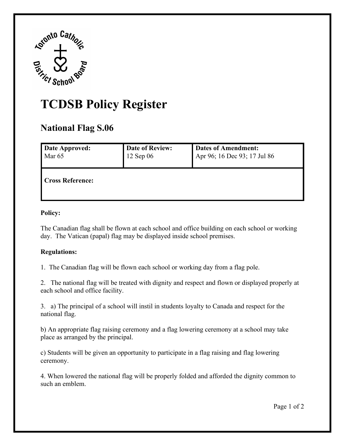

## **TCDSB Policy Register National Flag S.06**

| Date Approved:          | Date of Review: | <b>Dates of Amendment:</b>   |
|-------------------------|-----------------|------------------------------|
| Mar <sub>65</sub>       | $12$ Sep 06     | Apr 96; 16 Dec 93; 17 Jul 86 |
| <b>Cross Reference:</b> |                 |                              |

## **Policy:**

 day. The Vatican (papal) flag may be displayed inside school premises. The Canadian flag shall be flown at each school and office building on each school or working

## **Regulations:**

1. The Canadian flag will be flown each school or working day from a flag pole.

 2. The national flag will be treated with dignity and respect and flown or displayed properly at each school and office facility.

each school and office facility.<br>3. a) The principal of a school will instil in students loyalty to Canada and respect for the national flag.

place as arranged by the principal. b) An appropriate flag raising ceremony and a flag lowering ceremony at a school may take

ceremony. c) Students will be given an opportunity to participate in a flag raising and flag lowering

such an emblem. 4. When lowered the national flag will be properly folded and afforded the dignity common to such an emblem.<br>Page 1 of 2